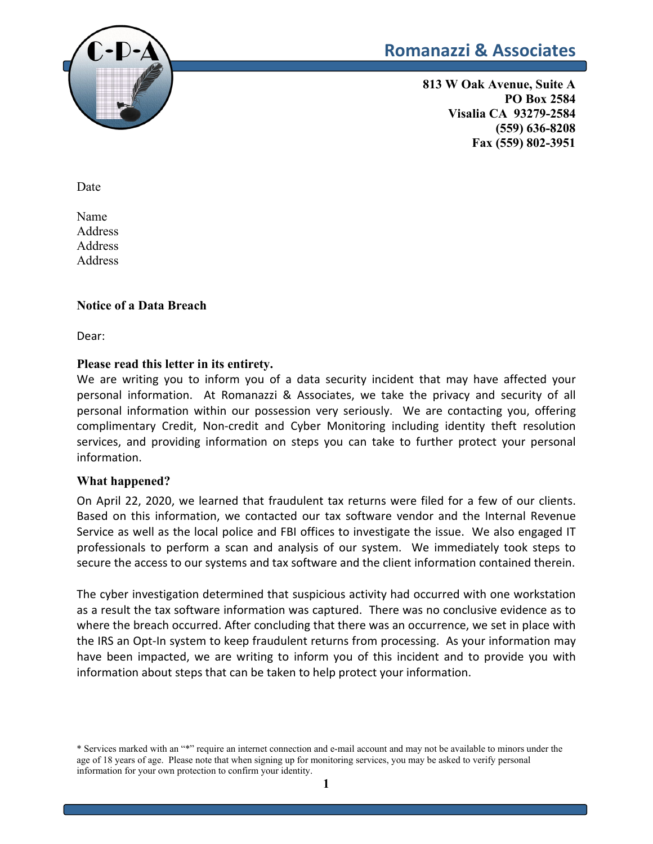

# **Romanazzi & Associates**

**813 W Oak Avenue, Suite A PO Box 2584 Visalia CA 93279-2584 (559) 636-8208 Fax (559) 802-3951**

Date

Name Address Address **Address** 

#### **Notice of a Data Breach**

Dear:

#### **Please read this letter in its entirety.**

We are writing you to inform you of a data security incident that may have affected your personal information. At Romanazzi & Associates, we take the privacy and security of all personal information within our possession very seriously. We are contacting you, offering complimentary Credit, Non-credit and Cyber Monitoring including identity theft resolution services, and providing information on steps you can take to further protect your personal information.

#### **What happened?**

On April 22, 2020, we learned that fraudulent tax returns were filed for a few of our clients. Based on this information, we contacted our tax software vendor and the Internal Revenue Service as well as the local police and FBI offices to investigate the issue. We also engaged IT professionals to perform a scan and analysis of our system. We immediately took steps to secure the access to our systems and tax software and the client information contained therein.

The cyber investigation determined that suspicious activity had occurred with one workstation as a result the tax software information was captured. There was no conclusive evidence as to where the breach occurred. After concluding that there was an occurrence, we set in place with the IRS an Opt-In system to keep fraudulent returns from processing. As your information may have been impacted, we are writing to inform you of this incident and to provide you with information about steps that can be taken to help protect your information.

<sup>\*</sup> Services marked with an "\*" require an internet connection and e-mail account and may not be available to minors under the age of 18 years of age. Please note that when signing up for monitoring services, you may be asked to verify personal information for your own protection to confirm your identity.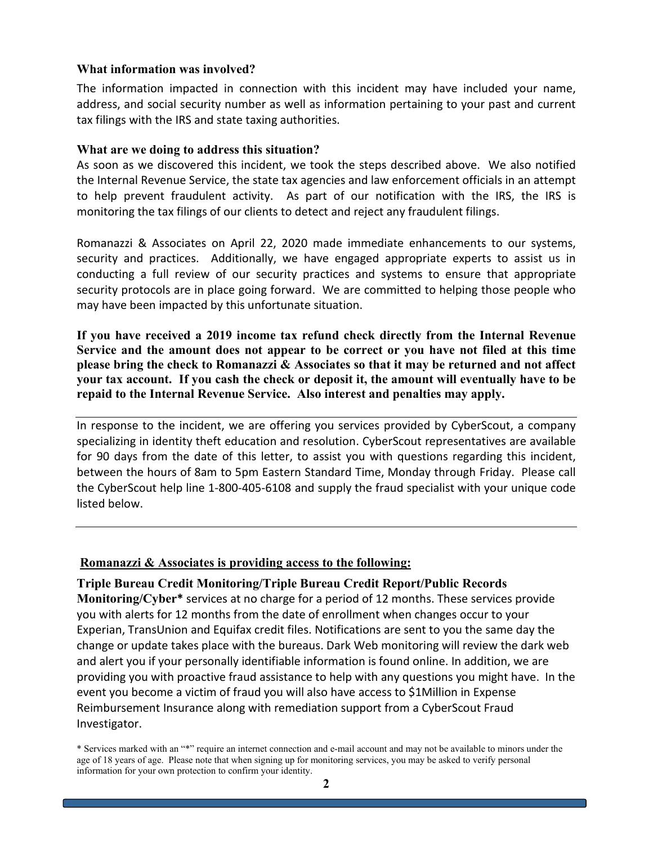#### **What information was involved?**

The information impacted in connection with this incident may have included your name, address, and social security number as well as information pertaining to your past and current tax filings with the IRS and state taxing authorities.

#### **What are we doing to address this situation?**

As soon as we discovered this incident, we took the steps described above. We also notified the Internal Revenue Service, the state tax agencies and law enforcement officials in an attempt to help prevent fraudulent activity. As part of our notification with the IRS, the IRS is monitoring the tax filings of our clients to detect and reject any fraudulent filings.

Romanazzi & Associates on April 22, 2020 made immediate enhancements to our systems, security and practices. Additionally, we have engaged appropriate experts to assist us in conducting a full review of our security practices and systems to ensure that appropriate security protocols are in place going forward. We are committed to helping those people who may have been impacted by this unfortunate situation.

**If you have received a 2019 income tax refund check directly from the Internal Revenue Service and the amount does not appear to be correct or you have not filed at this time please bring the check to Romanazzi & Associates so that it may be returned and not affect your tax account. If you cash the check or deposit it, the amount will eventually have to be repaid to the Internal Revenue Service. Also interest and penalties may apply.**

In response to the incident, we are offering you services provided by CyberScout, a company specializing in identity theft education and resolution. CyberScout representatives are available for 90 days from the date of this letter, to assist you with questions regarding this incident, between the hours of 8am to 5pm Eastern Standard Time, Monday through Friday. Please call the CyberScout help line 1-800-405-6108 and supply the fraud specialist with your unique code listed below.

#### **Romanazzi & Associates is providing access to the following:**

**Triple Bureau Credit Monitoring/Triple Bureau Credit Report/Public Records Monitoring/Cyber\*** services at no charge for a period of 12 months. These services provide you with alerts for 12 months from the date of enrollment when changes occur to your Experian, TransUnion and Equifax credit files. Notifications are sent to you the same day the change or update takes place with the bureaus. Dark Web monitoring will review the dark web and alert you if your personally identifiable information is found online. In addition, we are providing you with proactive fraud assistance to help with any questions you might have. In the event you become a victim of fraud you will also have access to \$1Million in Expense Reimbursement Insurance along with remediation support from a CyberScout Fraud Investigator.

<sup>\*</sup> Services marked with an "\*" require an internet connection and e-mail account and may not be available to minors under the age of 18 years of age. Please note that when signing up for monitoring services, you may be asked to verify personal information for your own protection to confirm your identity.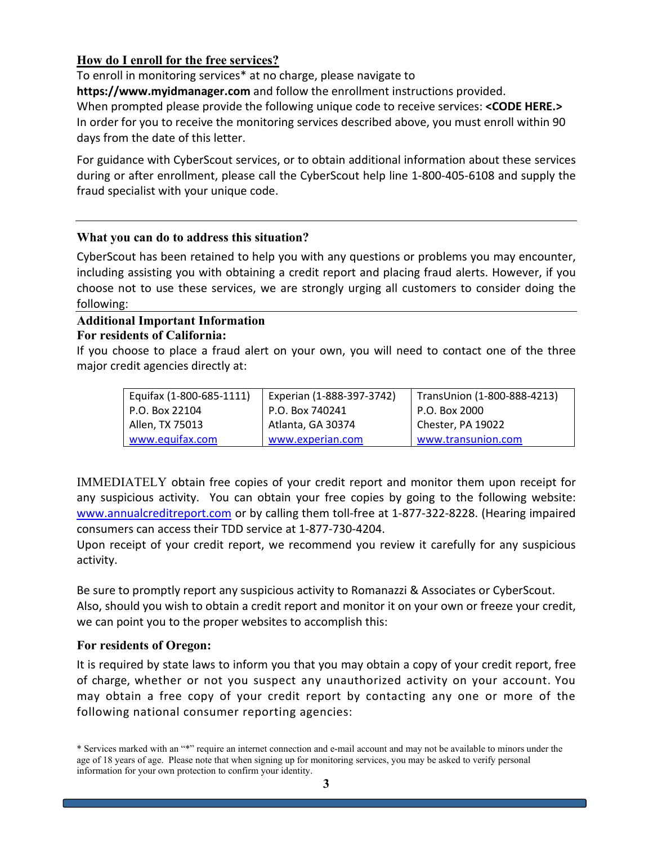# **How do I enroll for the free services?**

To enroll in monitoring services\* at no charge, please navigate to **https://www.myidmanager.com** and follow the enrollment instructions provided. When prompted please provide the following unique code to receive services: **<CODE HERE.>** In order for you to receive the monitoring services described above, you must enroll within 90 days from the date of this letter.

For guidance with CyberScout services, or to obtain additional information about these services during or after enrollment, please call the CyberScout help line 1-800-405-6108 and supply the fraud specialist with your unique code.

## **What you can do to address this situation?**

CyberScout has been retained to help you with any questions or problems you may encounter, including assisting you with obtaining a credit report and placing fraud alerts. However, if you choose not to use these services, we are strongly urging all customers to consider doing the following:

### **Additional Important Information For residents of California:**

If you choose to place a fraud alert on your own, you will need to contact one of the three major credit agencies directly at:

| Equifax (1-800-685-1111) | Experian (1-888-397-3742) | TransUnion (1-800-888-4213) |
|--------------------------|---------------------------|-----------------------------|
| P.O. Box 22104           | P.O. Box 740241           | P.O. Box 2000               |
| Allen, TX 75013          | Atlanta, GA 30374         | Chester, PA 19022           |
| www.equifax.com          | www.experian.com          | www.transunion.com          |

IMMEDIATELY obtain free copies of your credit report and monitor them upon receipt for any suspicious activity. You can obtain your free copies by going to the following website: [www.annualcreditreport.com](http://www.annualcreditreport.com/) or by calling them toll-free at 1-877-322-8228. (Hearing impaired consumers can access their TDD service at 1-877-730-4204.

Upon receipt of your credit report, we recommend you review it carefully for any suspicious activity.

Be sure to promptly report any suspicious activity to Romanazzi & Associates or CyberScout. Also, should you wish to obtain a credit report and monitor it on your own or freeze your credit, we can point you to the proper websites to accomplish this:

#### **For residents of Oregon:**

It is required by state laws to inform you that you may obtain a copy of your credit report, free of charge, whether or not you suspect any unauthorized activity on your account. You may obtain a free copy of your credit report by contacting any one or more of the following national consumer reporting agencies:

<sup>\*</sup> Services marked with an "\*" require an internet connection and e-mail account and may not be available to minors under the age of 18 years of age. Please note that when signing up for monitoring services, you may be asked to verify personal information for your own protection to confirm your identity.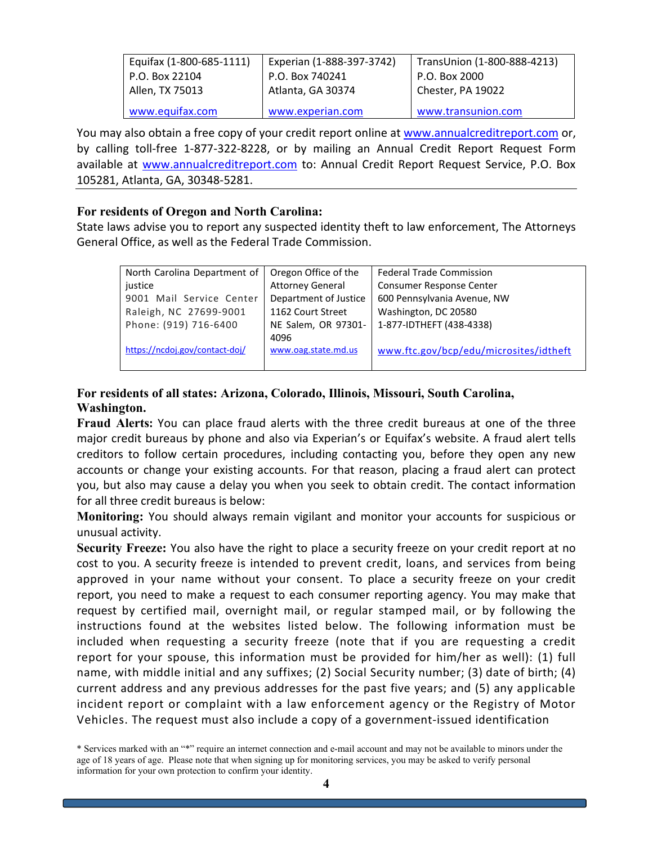| Equifax (1-800-685-1111) | Experian (1-888-397-3742) | TransUnion (1-800-888-4213) |
|--------------------------|---------------------------|-----------------------------|
| P.O. Box 22104           | P.O. Box 740241           | P.O. Box 2000               |
| Allen, TX 75013          | Atlanta, GA 30374         | Chester, PA 19022           |
| www.equifax.com          | www.experian.com          | www.transunion.com          |

You may also obtain a free copy of your credit report online at [www.annualcreditreport.com](http://www.annualcreditreport.com/) or, by calling toll-free 1-877-322-8228, or by mailing an Annual Credit Report Request Form available at [www.annualcreditreport.com](http://www.annualcreditreport.com/) to: Annual Credit Report Request Service, P.O. Box 105281, Atlanta, GA, 30348-5281.

### **For residents of Oregon and North Carolina:**

State laws advise you to report any suspected identity theft to law enforcement, The Attorneys General Office, as well as the Federal Trade Commission.

| North Carolina Department of   | Oregon Office of the    | <b>Federal Trade Commission</b>        |
|--------------------------------|-------------------------|----------------------------------------|
| justice                        | <b>Attorney General</b> | Consumer Response Center               |
| 9001 Mail Service Center       | Department of Justice   | 600 Pennsylvania Avenue, NW            |
| Raleigh, NC 27699-9001         | 1162 Court Street       | Washington, DC 20580                   |
| Phone: (919) 716-6400          | NE Salem, OR 97301-     | 1-877-IDTHEFT (438-4338)               |
|                                | 4096                    |                                        |
| https://ncdoj.gov/contact-doj/ | www.oag.state.md.us     | www.ftc.gov/bcp/edu/microsites/idtheft |
|                                |                         |                                        |

# **For residents of all states: Arizona, Colorado, Illinois, Missouri, South Carolina, Washington.**

**Fraud Alerts:** You can place fraud alerts with the three credit bureaus at one of the three major credit bureaus by phone and also via Experian's or Equifax's website. A fraud alert tells creditors to follow certain procedures, including contacting you, before they open any new accounts or change your existing accounts. For that reason, placing a fraud alert can protect you, but also may cause a delay you when you seek to obtain credit. The contact information for all three credit bureaus is below:

**Monitoring:** You should always remain vigilant and monitor your accounts for suspicious or unusual activity.

**Security Freeze:** You also have the right to place a security freeze on your credit report at no cost to you. A security freeze is intended to prevent credit, loans, and services from being approved in your name without your consent. To place a security freeze on your credit report, you need to make a request to each consumer reporting agency. You may make that request by certified mail, overnight mail, or regular stamped mail, or by following the instructions found at the websites listed below. The following information must be included when requesting a security freeze (note that if you are requesting a credit report for your spouse, this information must be provided for him/her as well): (1) full name, with middle initial and any suffixes; (2) Social Security number; (3) date of birth; (4) current address and any previous addresses for the past five years; and (5) any applicable incident report or complaint with a law enforcement agency or the Registry of Motor Vehicles. The request must also include a copy of a government-issued identification

<sup>\*</sup> Services marked with an "\*" require an internet connection and e-mail account and may not be available to minors under the age of 18 years of age. Please note that when signing up for monitoring services, you may be asked to verify personal information for your own protection to confirm your identity.